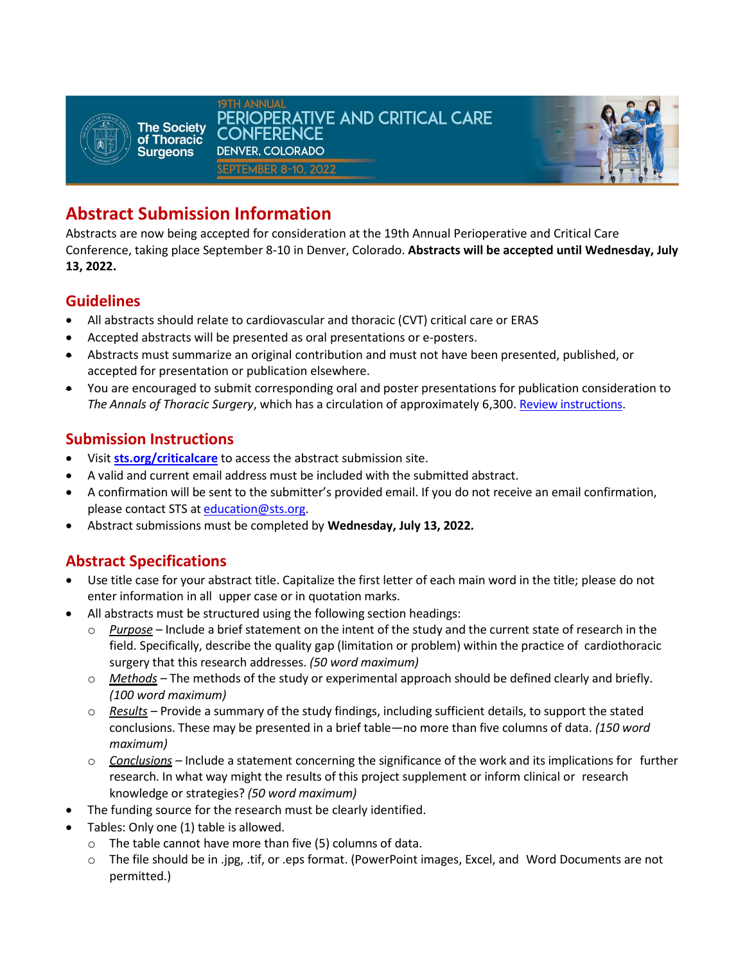



# **Abstract Submission Information**

Abstracts are now being accepted for consideration at the 19th Annual Perioperative and Critical Care Conference, taking place September 8-10 in Denver, Colorado. **Abstracts will be accepted until Wednesday, July 13, 2022.** 

### **Guidelines**

- All abstracts should relate to cardiovascular and thoracic (CVT) critical care or ERAS
- Accepted abstracts will be presented as oral presentations or e-posters.
- Abstracts must summarize an original contribution and must not have been presented, published, or accepted for presentation or publication elsewhere.
- You are encouraged to submit corresponding oral and poster presentations for publication consideration to *The Annals of Thoracic Surgery*, which has a circulation of approximately 6,300. [Review instructions.](https://www.editorialmanager.com/annals/default.aspx)

#### **Submission Instructions**

- Visit **[sts.org/criticalcare](http://www.sts.org/criticalcare)** to access the abstract submission site.
- A valid and current email address must be included with the submitted abstract.
- A confirmation will be sent to the submitter's provided email. If you do not receive an email confirmation, please contact STS a[t education@sts.org.](mailto:education@sts.org)
- Abstract submissions must be completed by **Wednesday, July 13, 2022.**

# **Abstract Specifications**

- Use title case for your abstract title. Capitalize the first letter of each main word in the title; please do not enter information in all upper case or in quotation marks.
- All abstracts must be structured using the following section headings:
	- o *Purpose –* Include a brief statement on the intent of the study and the current state of research in the field. Specifically, describe the quality gap (limitation or problem) within the practice of cardiothoracic surgery that this research addresses. *(50 word maximum)*
	- o *Methods –* The methods of the study or experimental approach should be defined clearly and briefly. *(100 word maximum)*
	- o *Results* Provide a summary of the study findings, including sufficient details, to support the stated conclusions. These may be presented in a brief table—no more than five columns of data. *(150 word maximum)*
	- o *Conclusions –* Include a statement concerning the significance of the work and its implications for further research. In what way might the results of this project supplement or inform clinical or research knowledge or strategies? *(50 word maximum)*
- The funding source for the research must be clearly identified.
- Tables: Only one (1) table is allowed.
	- o The table cannot have more than five (5) columns of data.
	- o The file should be in .jpg, .tif, or .eps format. (PowerPoint images, Excel, and Word Documents are not permitted.)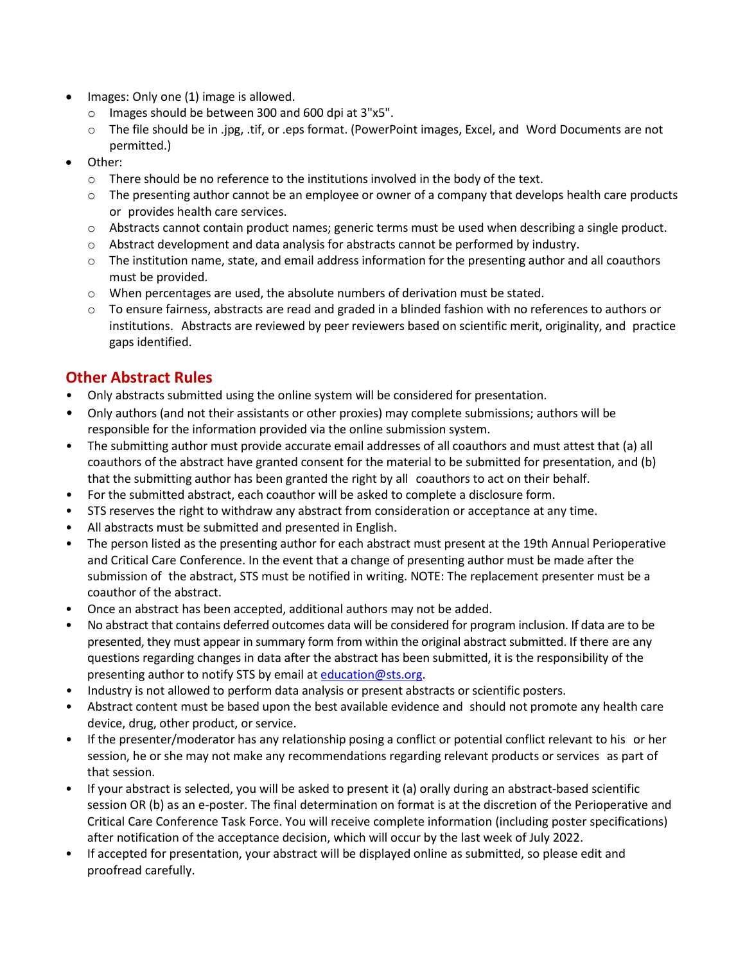- Images: Only one (1) image is allowed.
	- o Images should be between 300 and 600 dpi at 3"x5".
	- o The file should be in .jpg, .tif, or .eps format. (PowerPoint images, Excel, and Word Documents are not permitted.)
- Other:
	- $\circ$  There should be no reference to the institutions involved in the body of the text.
	- $\circ$  The presenting author cannot be an employee or owner of a company that develops health care products or provides health care services.
	- o Abstracts cannot contain product names; generic terms must be used when describing a single product.
	- o Abstract development and data analysis for abstracts cannot be performed by industry.
	- $\circ$  The institution name, state, and email address information for the presenting author and all coauthors must be provided.
	- o When percentages are used, the absolute numbers of derivation must be stated.
	- $\circ$  To ensure fairness, abstracts are read and graded in a blinded fashion with no references to authors or institutions. Abstracts are reviewed by peer reviewers based on scientific merit, originality, and practice gaps identified.

#### **Other Abstract Rules**

- Only abstracts submitted using the online system will be considered for presentation.
- Only authors (and not their assistants or other proxies) may complete submissions; authors will be responsible for the information provided via the online submission system.
- The submitting author must provide accurate email addresses of all coauthors and must attest that (a) all coauthors of the abstract have granted consent for the material to be submitted for presentation, and (b) that the submitting author has been granted the right by all coauthors to act on their behalf.
- For the submitted abstract, each coauthor will be asked to complete a disclosure form.
- STS reserves the right to withdraw any abstract from consideration or acceptance at any time.
- All abstracts must be submitted and presented in English.
- The person listed as the presenting author for each abstract must present at the 19th Annual Perioperative and Critical Care Conference. In the event that a change of presenting author must be made after the submission of the abstract, STS must be notified in writing. NOTE: The replacement presenter must be a coauthor of the abstract.
- Once an abstract has been accepted, additional authors may not be added.
- No abstract that contains deferred outcomes data will be considered for program inclusion. If data are to be presented, they must appear in summary form from within the original abstract submitted. If there are any questions regarding changes in data after the abstract has been submitted, it is the responsibility of the presenting author to notify STS by email at [education@sts.org.](mailto:education@sts.org)
- Industry is not allowed to perform data analysis or present abstracts or scientific posters.
- Abstract content must be based upon the best available evidence and should not promote any health care device, drug, other product, or service.
- If the presenter/moderator has any relationship posing a conflict or potential conflict relevant to his or her session, he or she may not make any recommendations regarding relevant products or services as part of that session.
- If your abstract is selected, you will be asked to present it (a) orally during an abstract-based scientific session OR (b) as an e-poster. The final determination on format is at the discretion of the Perioperative and Critical Care Conference Task Force. You will receive complete information (including poster specifications) after notification of the acceptance decision, which will occur by the last week of July 2022.
- If accepted for presentation, your abstract will be displayed online as submitted, so please edit and proofread carefully.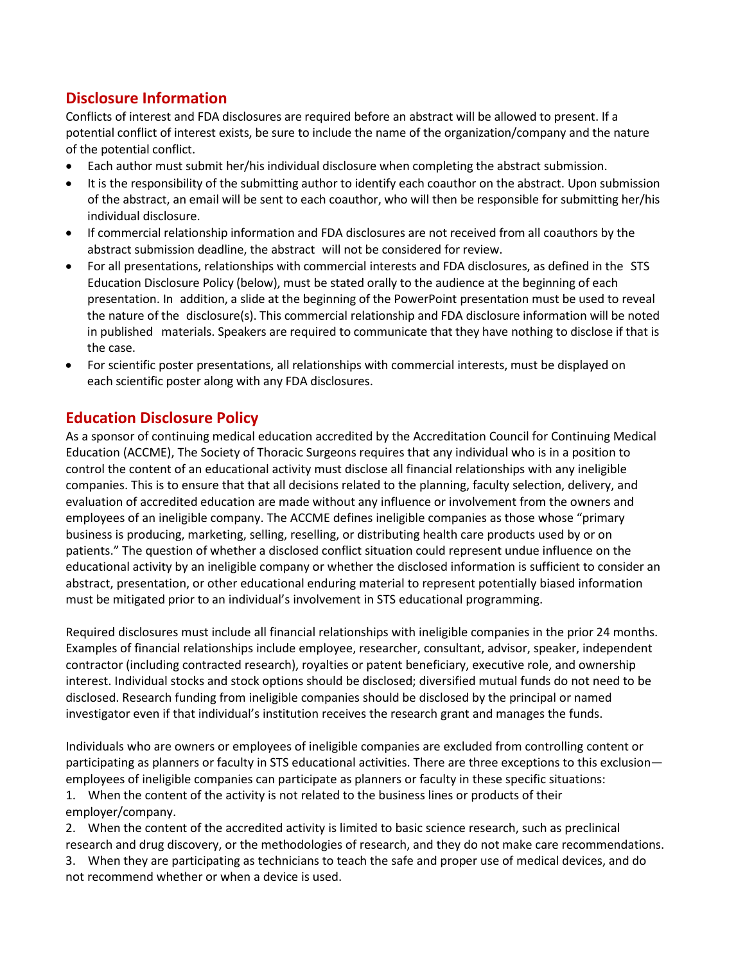## **Disclosure Information**

Conflicts of interest and FDA disclosures are required before an abstract will be allowed to present. If a potential conflict of interest exists, be sure to include the name of the organization/company and the nature of the potential conflict.

- Each author must submit her/his individual disclosure when completing the abstract submission.
- It is the responsibility of the submitting author to identify each coauthor on the abstract. Upon submission of the abstract, an email will be sent to each coauthor, who will then be responsible for submitting her/his individual disclosure.
- If commercial relationship information and FDA disclosures are not received from all coauthors by the abstract submission deadline, the abstract will not be considered for review.
- For all presentations, relationships with commercial interests and FDA disclosures, as defined in the STS Education Disclosure Policy (below), must be stated orally to the audience at the beginning of each presentation. In addition, a slide at the beginning of the PowerPoint presentation must be used to reveal the nature of the disclosure(s). This commercial relationship and FDA disclosure information will be noted in published materials. Speakers are required to communicate that they have nothing to disclose if that is the case.
- For scientific poster presentations, all relationships with commercial interests, must be displayed on each scientific poster along with any FDA disclosures.

#### **Education Disclosure Policy**

As a sponsor of continuing medical education accredited by the Accreditation Council for Continuing Medical Education (ACCME), The Society of Thoracic Surgeons requires that any individual who is in a position to control the content of an educational activity must disclose all financial relationships with any ineligible companies. This is to ensure that that all decisions related to the planning, faculty selection, delivery, and evaluation of accredited education are made without any influence or involvement from the owners and employees of an ineligible company. The ACCME defines ineligible companies as those whose "primary business is producing, marketing, selling, reselling, or distributing health care products used by or on patients." The question of whether a disclosed conflict situation could represent undue influence on the educational activity by an ineligible company or whether the disclosed information is sufficient to consider an abstract, presentation, or other educational enduring material to represent potentially biased information must be mitigated prior to an individual's involvement in STS educational programming.

Required disclosures must include all financial relationships with ineligible companies in the prior 24 months. Examples of financial relationships include employee, researcher, consultant, advisor, speaker, independent contractor (including contracted research), royalties or patent beneficiary, executive role, and ownership interest. Individual stocks and stock options should be disclosed; diversified mutual funds do not need to be disclosed. Research funding from ineligible companies should be disclosed by the principal or named investigator even if that individual's institution receives the research grant and manages the funds.

Individuals who are owners or employees of ineligible companies are excluded from controlling content or participating as planners or faculty in STS educational activities. There are three exceptions to this exclusion employees of ineligible companies can participate as planners or faculty in these specific situations: 1. When the content of the activity is not related to the business lines or products of their

employer/company.

2. When the content of the accredited activity is limited to basic science research, such as preclinical research and drug discovery, or the methodologies of research, and they do not make care recommendations. 3. When they are participating as technicians to teach the safe and proper use of medical devices, and do not recommend whether or when a device is used.